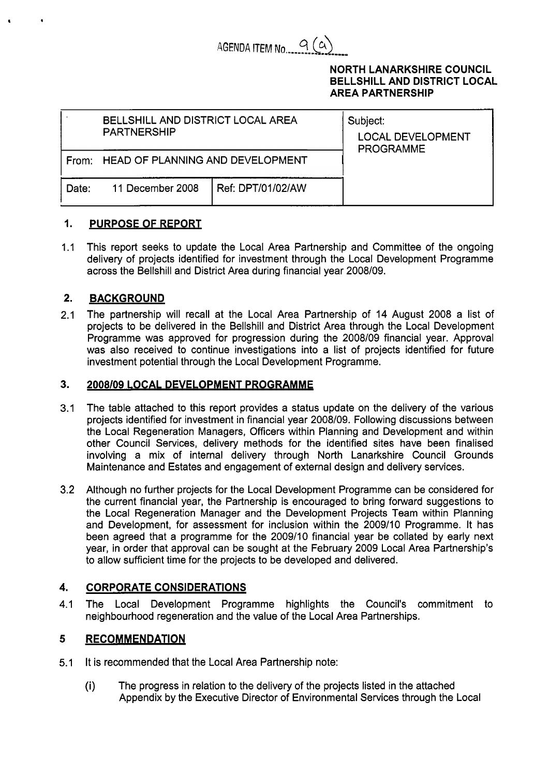

# **NORTH LANARKSHIRE COUNCIL BELLSHILL AND DISTRICT LOCAL AREA PARTNERSHIP**

|       | BELLSHILL AND DISTRICT LOCAL AREA<br><b>PARTNERSHIP</b> | Subject:<br><b>LOCAL DEVELOPMENT</b><br><b>PROGRAMME</b> |  |
|-------|---------------------------------------------------------|----------------------------------------------------------|--|
|       | From: HEAD OF PLANNING AND DEVELOPMENT                  |                                                          |  |
| Date: | 11 December 2008                                        | Ref: DPT/01/02/AW                                        |  |

#### *I.*  **PURPOSE OF REPORT**

 $1.1$ This report seeks to update the Local Area Partnership and Committee of the ongoing delivery of projects identified for investment through the Local Development Programme across the Bellshill and District Area during financial year 2008/09.

#### **2. BACKGROUND**

**<sup>t</sup>**.

2.1 The partnership will recall at the Local Area Partnership of 14 August 2008 a list of projects to be delivered in the Bellshill and District Area through the Local Development Programme was approved for progression during the 2008/09 financial year. Approval was also received to continue investigations into a list of projects identified for future investment potential through the Local Development Programme.

#### **3. 2008/09 LOCAL DEVELOPMENT PROGRAMME**

- 3.1 The table attached to this report provides a status update on the delivery of the various projects identified for investment in financial year 2008/09. Following discussions between the Local Regeneration Managers, Officers within Planning and Development and within other Council Services, delivery methods for the identified sites have been finalised involving a mix of internal delivery through North Lanarkshire Council Grounds Maintenance and Estates and engagement of external design and delivery services.
- 3.2 Although no further projects for the Local Development Programme can be considered for the current financial year, the Partnership is encouraged to bring forward suggestions to the Local Regeneration Manager and the Development Projects Team within Planning and Development, for assessment for inclusion within the 2009/10 Programme. It has been agreed that a programme for the 2009/10 financial year be collated by early next year, in order that approval can be sought at the February 2009 Local Area Partnership's to allow sufficient time for the projects to be developed and delivered.

## **4. CORPORATE CONSIDERATIONS**

4.1 The Local Development Programme highlights the Council's commitment to neighbourhood regeneration and the value of the Local Area Partnerships.

## **5 RECOMMENDATION**

- 5.1 It is recommended that the Local Area Partnership note:
	- (i) The progress in relation to the delivery of the projects listed in the attached Appendix by the Executive Director of Environmental Services through the Local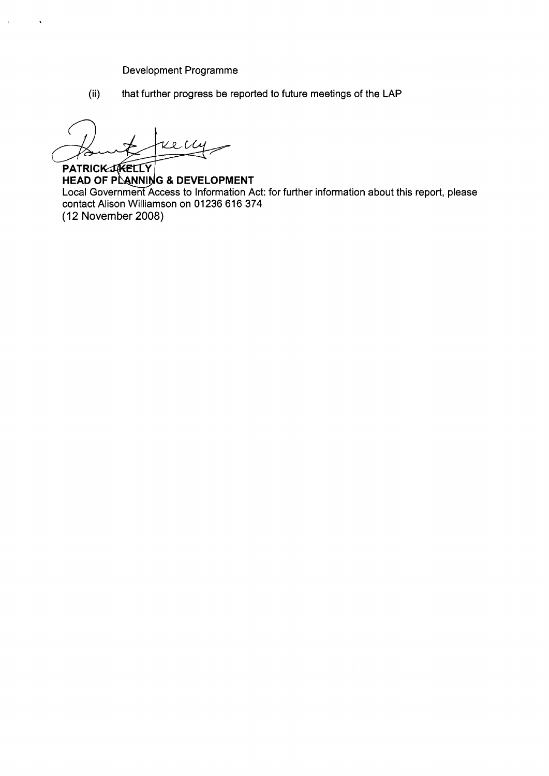Development Programme

(ii) that further progress be reported to future meetings of the LAP

Kelly

**PATRICK JAKELLY** HEAD OF PLANNING & DEVELOPMENT Local Government Access to Information Act: for further information about this report, please contact Alison Williamson on **01236 616 374**  (1 **2** November 2008)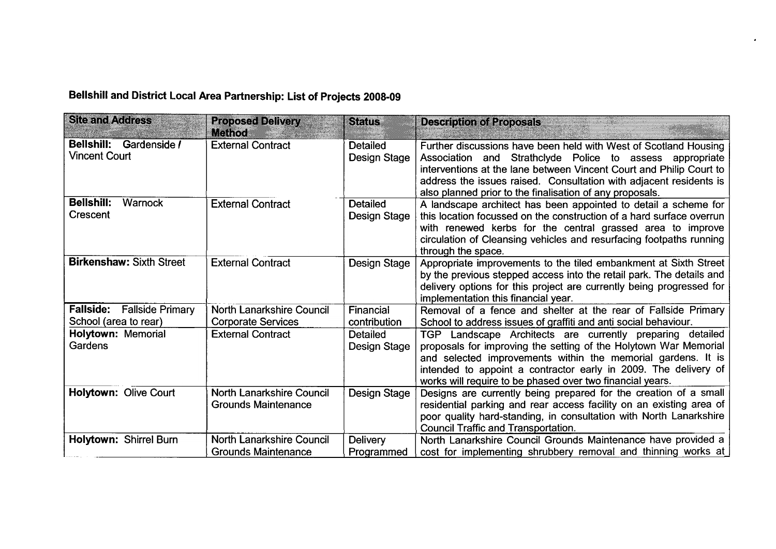# **Bellshill and District Local Area Partnership: List** *of* **Projects 2008-09**

| <b>Site and Address</b>                         | <b>Proposed Delivery</b><br>Method                             | <b>Status</b>                   | <b>Description of Proposals</b>                                                                                                                                                                                                                                                                                                       |
|-------------------------------------------------|----------------------------------------------------------------|---------------------------------|---------------------------------------------------------------------------------------------------------------------------------------------------------------------------------------------------------------------------------------------------------------------------------------------------------------------------------------|
| Bellshill: Gardenside /<br><b>Vincent Court</b> | <b>External Contract</b>                                       | <b>Detailed</b><br>Design Stage | Further discussions have been held with West of Scotland Housing<br>Association and Strathclyde Police to assess appropriate<br>interventions at the lane between Vincent Court and Philip Court to<br>address the issues raised. Consultation with adjacent residents is<br>also planned prior to the finalisation of any proposals. |
| <b>Bellshill:</b><br>Warnock<br>Crescent        | <b>External Contract</b>                                       | <b>Detailed</b><br>Design Stage | A landscape architect has been appointed to detail a scheme for<br>this location focussed on the construction of a hard surface overrun<br>with renewed kerbs for the central grassed area to improve<br>circulation of Cleansing vehicles and resurfacing footpaths running<br>through the space.                                    |
| <b>Birkenshaw: Sixth Street</b>                 | <b>External Contract</b>                                       | Design Stage                    | Appropriate improvements to the tiled embankment at Sixth Street<br>by the previous stepped access into the retail park. The details and<br>delivery options for this project are currently being progressed for<br>implementation this financial year.                                                                               |
| <b>Fallside:</b> Fallside Primary               | North Lanarkshire Council                                      | Financial                       | Removal of a fence and shelter at the rear of Fallside Primary                                                                                                                                                                                                                                                                        |
| School (area to rear)                           | <b>Corporate Services</b>                                      | contribution                    | School to address issues of graffiti and anti social behaviour.                                                                                                                                                                                                                                                                       |
| Holytown: Memorial<br>Gardens                   | <b>External Contract</b>                                       | <b>Detailed</b><br>Design Stage | TGP Landscape Architects are currently preparing detailed<br>proposals for improving the setting of the Holytown War Memorial<br>and selected improvements within the memorial gardens. It is<br>intended to appoint a contractor early in 2009. The delivery of<br>works will require to be phased over two financial years.         |
| Holytown: Olive Court                           | <b>North Lanarkshire Council</b><br><b>Grounds Maintenance</b> | Design Stage                    | Designs are currently being prepared for the creation of a small<br>residential parking and rear access facility on an existing area of<br>poor quality hard-standing, in consultation with North Lanarkshire<br><b>Council Traffic and Transportation.</b>                                                                           |
| Holytown: Shirrel Burn                          | <b>North Lanarkshire Council</b><br><b>Grounds Maintenance</b> | <b>Delivery</b><br>Programmed   | North Lanarkshire Council Grounds Maintenance have provided a<br>cost for implementing shrubbery removal and thinning works at                                                                                                                                                                                                        |

 $\mathbf{r}$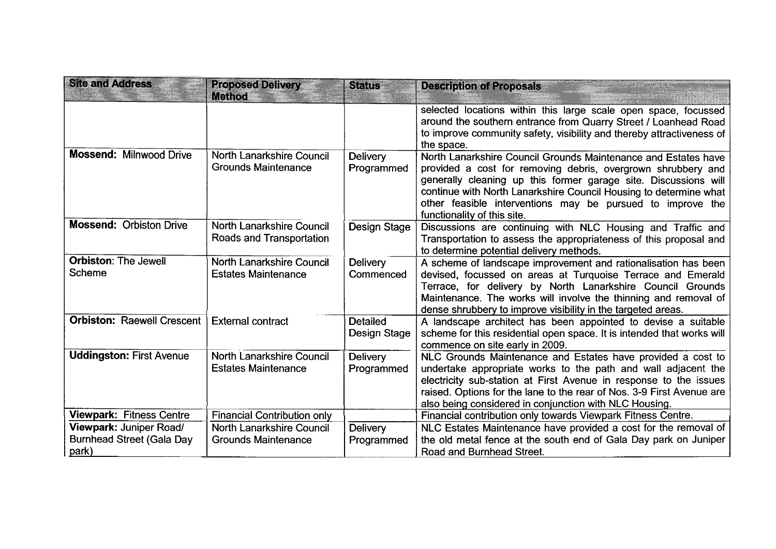| <b>Site and Address</b>                                              | <b>Proposed Delivery</b>                                | <b>Status</b>                   | <b>Description of Proposals</b>                                                                                                                                                                                                                                                                                                                                     |
|----------------------------------------------------------------------|---------------------------------------------------------|---------------------------------|---------------------------------------------------------------------------------------------------------------------------------------------------------------------------------------------------------------------------------------------------------------------------------------------------------------------------------------------------------------------|
|                                                                      | <b>Method</b>                                           |                                 |                                                                                                                                                                                                                                                                                                                                                                     |
|                                                                      |                                                         |                                 | selected locations within this large scale open space, focussed<br>around the southern entrance from Quarry Street / Loanhead Road<br>to improve community safety, visibility and thereby attractiveness of<br>the space.                                                                                                                                           |
| <b>Mossend: Milnwood Drive</b>                                       | North Lanarkshire Council<br><b>Grounds Maintenance</b> | <b>Delivery</b><br>Programmed   | North Lanarkshire Council Grounds Maintenance and Estates have<br>provided a cost for removing debris, overgrown shrubbery and<br>generally cleaning up this former garage site. Discussions will<br>continue with North Lanarkshire Council Housing to determine what<br>other feasible interventions may be pursued to improve the<br>functionality of this site. |
| <b>Mossend: Orbiston Drive</b>                                       | North Lanarkshire Council<br>Roads and Transportation   | Design Stage                    | Discussions are continuing with NLC Housing and Traffic and<br>Transportation to assess the appropriateness of this proposal and<br>to determine potential delivery methods.                                                                                                                                                                                        |
| <b>Orbiston: The Jewell</b><br><b>Scheme</b>                         | North Lanarkshire Council<br><b>Estates Maintenance</b> | Delivery<br>Commenced           | A scheme of landscape improvement and rationalisation has been<br>devised, focussed on areas at Turquoise Terrace and Emerald<br>Terrace, for delivery by North Lanarkshire Council Grounds<br>Maintenance. The works will involve the thinning and removal of<br>dense shrubbery to improve visibility in the targeted areas.                                      |
| <b>Orbiston: Raewell Crescent</b>                                    | <b>External contract</b>                                | <b>Detailed</b><br>Design Stage | A landscape architect has been appointed to devise a suitable<br>scheme for this residential open space. It is intended that works will<br>commence on site early in 2009.                                                                                                                                                                                          |
| <b>Uddingston: First Avenue</b>                                      | North Lanarkshire Council<br><b>Estates Maintenance</b> | <b>Delivery</b><br>Programmed   | NLC Grounds Maintenance and Estates have provided a cost to<br>undertake appropriate works to the path and wall adjacent the<br>electricity sub-station at First Avenue in response to the issues<br>raised. Options for the lane to the rear of Nos. 3-9 First Avenue are<br>also being considered in conjunction with NLC Housing.                                |
| <b>Viewpark: Fitness Centre</b>                                      | <b>Financial Contribution only</b>                      |                                 | Financial contribution only towards Viewpark Fitness Centre.                                                                                                                                                                                                                                                                                                        |
| Viewpark: Juniper Road/<br><b>Burnhead Street (Gala Day</b><br>park) | North Lanarkshire Council<br><b>Grounds Maintenance</b> | Delivery<br>Programmed          | NLC Estates Maintenance have provided a cost for the removal of<br>the old metal fence at the south end of Gala Day park on Juniper<br>Road and Burnhead Street.                                                                                                                                                                                                    |